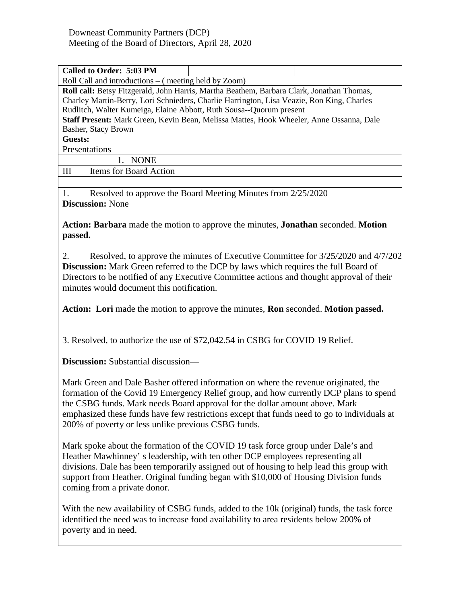| Called to Order: 5:03 PM                                                                  |  |  |  |  |
|-------------------------------------------------------------------------------------------|--|--|--|--|
| Roll Call and introductions – (meeting held by Zoom)                                      |  |  |  |  |
| Roll call: Betsy Fitzgerald, John Harris, Martha Beathem, Barbara Clark, Jonathan Thomas, |  |  |  |  |
| Charley Martin-Berry, Lori Schnieders, Charlie Harrington, Lisa Veazie, Ron King, Charles |  |  |  |  |
| Rudlitch, Walter Kumeiga, Elaine Abbott, Ruth Sousa--Quorum present                       |  |  |  |  |
| Staff Present: Mark Green, Kevin Bean, Melissa Mattes, Hook Wheeler, Anne Ossanna, Dale   |  |  |  |  |
| Basher, Stacy Brown                                                                       |  |  |  |  |
| Guests:                                                                                   |  |  |  |  |
| Presentations                                                                             |  |  |  |  |
| <b>NONE</b>                                                                               |  |  |  |  |
| Ш<br>Items for Board Action                                                               |  |  |  |  |

1. Resolved to approve the Board Meeting Minutes from 2/25/2020 **Discussion:** None

**Action: Barbara** made the motion to approve the minutes, **Jonathan** seconded. **Motion passed.**

2. Resolved, to approve the minutes of Executive Committee for 3/25/2020 and 4/7/202 **Discussion:** Mark Green referred to the DCP by laws which requires the full Board of Directors to be notified of any Executive Committee actions and thought approval of their minutes would document this notification.

**Action: Lori** made the motion to approve the minutes, **Ron** seconded. **Motion passed.**

3. Resolved, to authorize the use of \$72,042.54 in CSBG for COVID 19 Relief.

**Discussion:** Substantial discussion—

Mark Green and Dale Basher offered information on where the revenue originated, the formation of the Covid 19 Emergency Relief group, and how currently DCP plans to spend the CSBG funds. Mark needs Board approval for the dollar amount above. Mark emphasized these funds have few restrictions except that funds need to go to individuals at 200% of poverty or less unlike previous CSBG funds.

Mark spoke about the formation of the COVID 19 task force group under Dale's and Heather Mawhinney' s leadership, with ten other DCP employees representing all divisions. Dale has been temporarily assigned out of housing to help lead this group with support from Heather. Original funding began with \$10,000 of Housing Division funds coming from a private donor.

With the new availability of CSBG funds, added to the 10k (original) funds, the task force identified the need was to increase food availability to area residents below 200% of poverty and in need.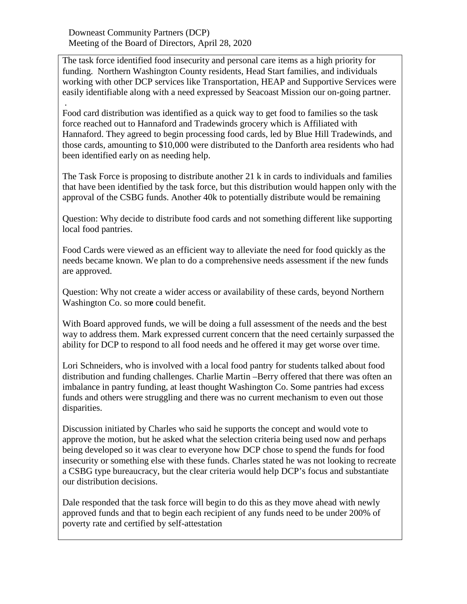Downeast Community Partners (DCP) Meeting of the Board of Directors, April 28, 2020

The task force identified food insecurity and personal care items as a high priority for funding. Northern Washington County residents, Head Start families, and individuals working with other DCP services like Transportation, HEAP and Supportive Services were easily identifiable along with a need expressed by Seacoast Mission our on-going partner.

. Food card distribution was identified as a quick way to get food to families so the task force reached out to Hannaford and Tradewinds grocery which is Affiliated with Hannaford. They agreed to begin processing food cards, led by Blue Hill Tradewinds, and those cards, amounting to \$10,000 were distributed to the Danforth area residents who had been identified early on as needing help.

The Task Force is proposing to distribute another 21 k in cards to individuals and families that have been identified by the task force, but this distribution would happen only with the approval of the CSBG funds. Another 40k to potentially distribute would be remaining

Question: Why decide to distribute food cards and not something different like supporting local food pantries.

Food Cards were viewed as an efficient way to alleviate the need for food quickly as the needs became known. We plan to do a comprehensive needs assessment if the new funds are approved.

Question: Why not create a wider access or availability of these cards, beyond Northern Washington Co. so mor**e** could benefit.

With Board approved funds, we will be doing a full assessment of the needs and the best way to address them. Mark expressed current concern that the need certainly surpassed the ability for DCP to respond to all food needs and he offered it may get worse over time.

Lori Schneiders, who is involved with a local food pantry for students talked about food distribution and funding challenges. Charlie Martin –Berry offered that there was often an imbalance in pantry funding, at least thought Washington Co. Some pantries had excess funds and others were struggling and there was no current mechanism to even out those disparities.

Discussion initiated by Charles who said he supports the concept and would vote to approve the motion, but he asked what the selection criteria being used now and perhaps being developed so it was clear to everyone how DCP chose to spend the funds for food insecurity or something else with these funds. Charles stated he was not looking to recreate a CSBG type bureaucracy, but the clear criteria would help DCP's focus and substantiate our distribution decisions.

Dale responded that the task force will begin to do this as they move ahead with newly approved funds and that to begin each recipient of any funds need to be under 200% of poverty rate and certified by self-attestation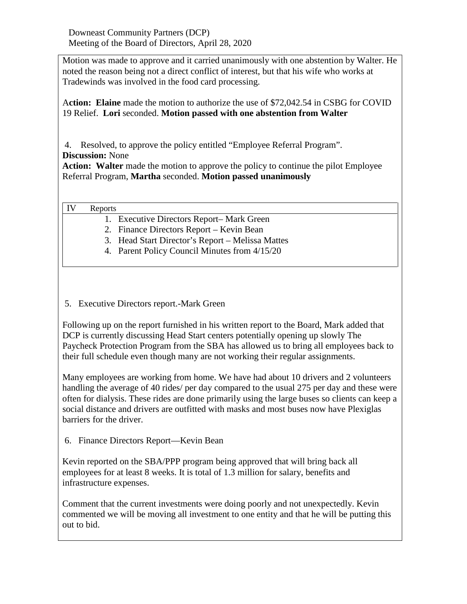Downeast Community Partners (DCP) Meeting of the Board of Directors, April 28, 2020

Motion was made to approve and it carried unanimously with one abstention by Walter. He noted the reason being not a direct conflict of interest, but that his wife who works at Tradewinds was involved in the food card processing.

A**ction: Elaine** made the motion to authorize the use of \$72,042.54 in CSBG for COVID 19 Relief. **Lori** seconded. **Motion passed with one abstention from Walter**

4. Resolved, to approve the policy entitled "Employee Referral Program". **Discussion:** None

Action: Walter made the motion to approve the policy to continue the pilot Employee Referral Program, **Martha** seconded. **Motion passed unanimously**

| IV | Reports |
|----|---------|
|----|---------|

- 1. Executive Directors Report– Mark Green
- 2. Finance Directors Report Kevin Bean
- 3. Head Start Director's Report Melissa Mattes
- 4. Parent Policy Council Minutes from 4/15/20

## 5. Executive Directors report.-Mark Green

Following up on the report furnished in his written report to the Board, Mark added that DCP is currently discussing Head Start centers potentially opening up slowly The Paycheck Protection Program from the SBA has allowed us to bring all employees back to their full schedule even though many are not working their regular assignments.

Many employees are working from home. We have had about 10 drivers and 2 volunteers handling the average of 40 rides/ per day compared to the usual 275 per day and these were often for dialysis. These rides are done primarily using the large buses so clients can keep a social distance and drivers are outfitted with masks and most buses now have Plexiglas barriers for the driver.

6. Finance Directors Report—Kevin Bean

Kevin reported on the SBA/PPP program being approved that will bring back all employees for at least 8 weeks. It is total of 1.3 million for salary, benefits and infrastructure expenses.

Comment that the current investments were doing poorly and not unexpectedly. Kevin commented we will be moving all investment to one entity and that he will be putting this out to bid.